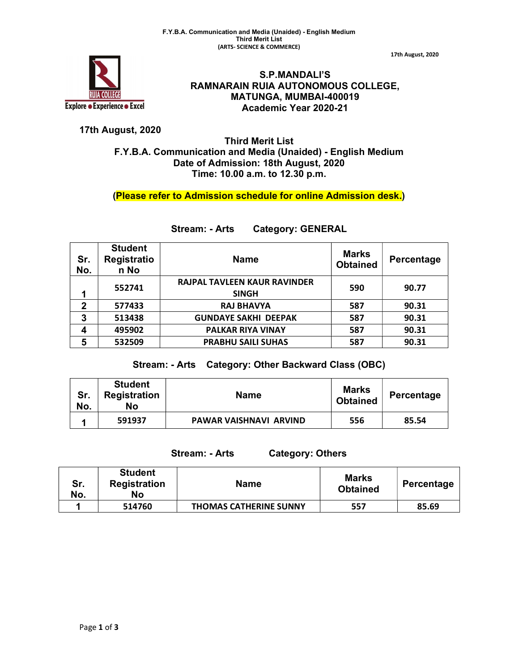

S.P.MANDALI'S RAMNARAIN RUIA AUTONOMOUS COLLEGE, MATUNGA, MUMBAI-400019 Academic Year 2020-21

17th August, 2020

## 17th August, 2020

## Third Merit List F.Y.B.A. Communication and Media (Unaided) - English Medium Date of Admission: 18th August, 2020 Time: 10.00 a.m. to 12.30 p.m.

(Please refer to Admission schedule for online Admission desk.)

| Sr.<br>No.   | <b>Student</b><br>Registratio<br>n No | <b>Name</b>                                         | <b>Marks</b><br><b>Obtained</b> | Percentage |
|--------------|---------------------------------------|-----------------------------------------------------|---------------------------------|------------|
| 1            | 552741                                | <b>RAJPAL TAVLEEN KAUR RAVINDER</b><br><b>SINGH</b> | 590                             | 90.77      |
| $\mathbf{2}$ | 577433                                | <b>RAJ BHAVYA</b>                                   | 587                             | 90.31      |
| 3            | 513438                                | <b>GUNDAYE SAKHI DEEPAK</b>                         | 587                             | 90.31      |
| 4            | 495902                                | <b>PALKAR RIYA VINAY</b>                            | 587                             | 90.31      |
| 5            | 532509                                | <b>PRABHU SAILI SUHAS</b>                           | 587                             | 90.31      |

## Stream: - Arts Category: GENERAL

## Stream: - Arts Category: Other Backward Class (OBC)

| Sr.<br>No. | <b>Student</b><br><b>Registration</b><br>No | <b>Name</b>            | <b>Marks</b><br><b>Obtained</b> | Percentage |
|------------|---------------------------------------------|------------------------|---------------------------------|------------|
|            | 591937                                      | PAWAR VAISHNAVI ARVIND | 556                             | 85.54      |

Stream: - Arts Category: Others

| Sr.<br>No. | <b>Student</b><br><b>Registration</b><br>No | <b>Name</b>                   | Marks<br><b>Obtained</b> | Percentage |
|------------|---------------------------------------------|-------------------------------|--------------------------|------------|
|            | 514760                                      | <b>THOMAS CATHERINE SUNNY</b> | 557                      | 85.69      |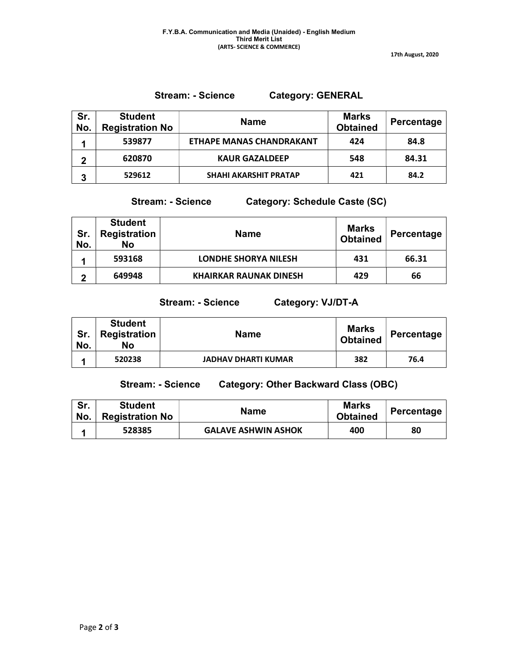17th August, 2020

Stream: - Science Category: GENERAL

| Sr.<br>No. | <b>Student</b><br><b>Registration No</b> | <b>Name</b>                     | <b>Marks</b><br><b>Obtained</b> | Percentage |
|------------|------------------------------------------|---------------------------------|---------------------------------|------------|
|            | 539877                                   | <b>ETHAPE MANAS CHANDRAKANT</b> | 424                             | 84.8       |
| 2          | 620870                                   | <b>KAUR GAZALDEEP</b>           | 548                             | 84.31      |
| 3          | 529612                                   | <b>SHAHI AKARSHIT PRATAP</b>    | 421                             | 84.2       |

Stream: - Science Category: Schedule Caste (SC)

| Sr.<br>No. | <b>Student</b><br><b>Registration</b><br><b>No</b> | <b>Name</b>                   | <b>Marks</b><br><b>Obtained</b> | Percentage |
|------------|----------------------------------------------------|-------------------------------|---------------------------------|------------|
|            | 593168                                             | <b>LONDHE SHORYA NILESH</b>   | 431                             | 66.31      |
| ŋ          | 649948                                             | <b>KHAIRKAR RAUNAK DINESH</b> | 429                             | 66         |

Stream: - Science Category: VJ/DT-A

| Sr.<br>No. | <b>Student</b><br><b>Registration</b><br>No | Name                       | <b>Marks</b><br><b>Obtained</b> | ⊪ Percentage ' |
|------------|---------------------------------------------|----------------------------|---------------------------------|----------------|
|            | 520238                                      | <b>JADHAV DHARTI KUMAR</b> | 382                             | 76.4           |

Stream: - Science Category: Other Backward Class (OBC)

| Sr.<br>No. | <b>Student</b><br><b>Registration No</b> | <b>Name</b>                | <b>Marks</b><br><b>Obtained</b> | Percentage |
|------------|------------------------------------------|----------------------------|---------------------------------|------------|
|            | 528385                                   | <b>GALAVE ASHWIN ASHOK</b> | 400                             | 80         |